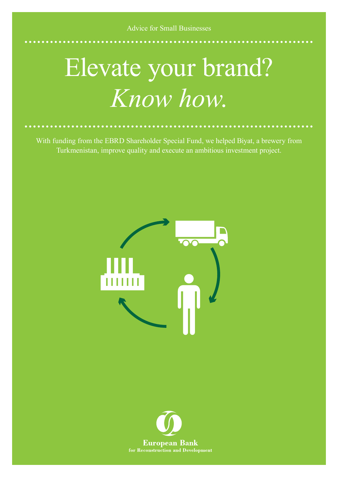Advice for Small Businesses

## Elevate your brand? *Know how*.

With funding from the EBRD Shareholder Special Fund, we helped Biyat, a brewery from Turkmenistan, improve quality and execute an ambitious investment project.